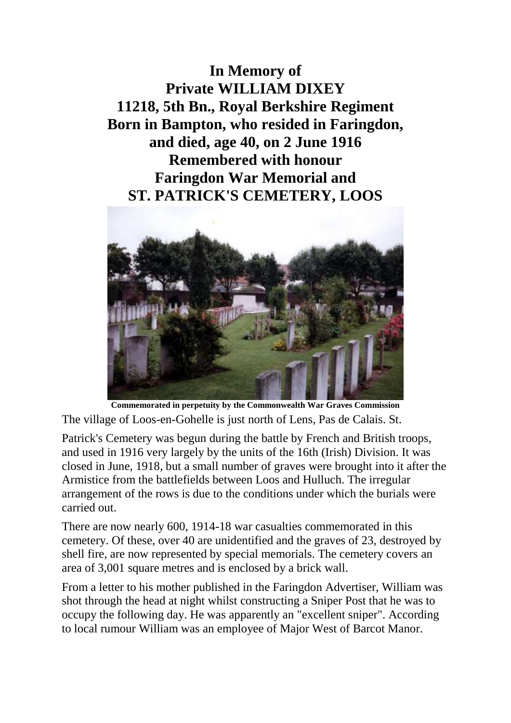**In Memory of Private WILLIAM DIXEY 11218, 5th Bn., Royal Berkshire Regiment Born in Bampton, who resided in Faringdon, and died, age 40, on 2 June 1916 Remembered with honour Faringdon War Memorial and ST. PATRICK'S CEMETERY, LOOS**



**Commemorated in perpetuity by the Commonwealth War Graves Commission** The village of Loos-en-Gohelle is just north of Lens, Pas de Calais. St.

Patrick's Cemetery was begun during the battle by French and British troops, and used in 1916 very largely by the units of the 16th (Irish) Division. It was closed in June, 1918, but a small number of graves were brought into it after the Armistice from the battlefields between Loos and Hulluch. The irregular arrangement of the rows is due to the conditions under which the burials were carried out.

There are now nearly 600, 1914-18 war casualties commemorated in this cemetery. Of these, over 40 are unidentified and the graves of 23, destroyed by shell fire, are now represented by special memorials. The cemetery covers an area of 3,001 square metres and is enclosed by a brick wall.

From a letter to his mother published in the Faringdon Advertiser, William was shot through the head at night whilst constructing a Sniper Post that he was to occupy the following day. He was apparently an "excellent sniper". According to local rumour William was an employee of Major West of Barcot Manor.